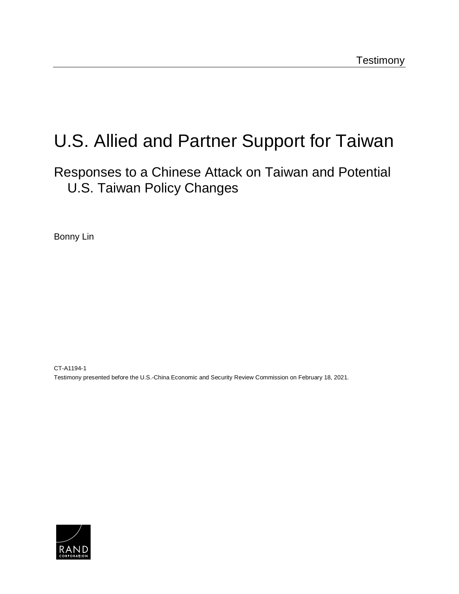# U.S. Allied and Partner Support for Taiwan

Responses to a Chinese Attack on Taiwan and Potential U.S. Taiwan Policy Changes

Bonny Lin

CT-A1194-1 Testimony presented before the U.S.-China Economic and Security Review Commission on February 18, 2021.

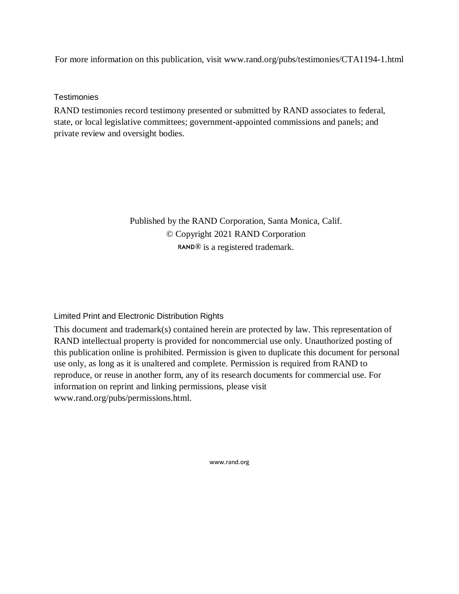For more information on this publication, visit www.rand.org/pubs/testimonies/CTA1194-1.html

**Testimonies** 

RAND testimonies record testimony presented or submitted by RAND associates to federal, state, or local legislative committees; government-appointed commissions and panels; and private review and oversight bodies.

> Published by the RAND Corporation, Santa Monica, Calif. © Copyright 2021 RAND Corporation RAND<sup>®</sup> is a registered trademark.

Limited Print and Electronic Distribution Rights

This document and trademark(s) contained herein are protected by law. This representation of RAND intellectual property is provided for noncommercial use only. Unauthorized posting of this publication online is prohibited. Permission is given to duplicate this document for personal use only, as long as it is unaltered and complete. Permission is required from RAND to reproduce, or reuse in another form, any of its research documents for commercial use. For information on reprint and linking permissions, please visit www.rand.org/pubs/permissions.html.

www.rand.org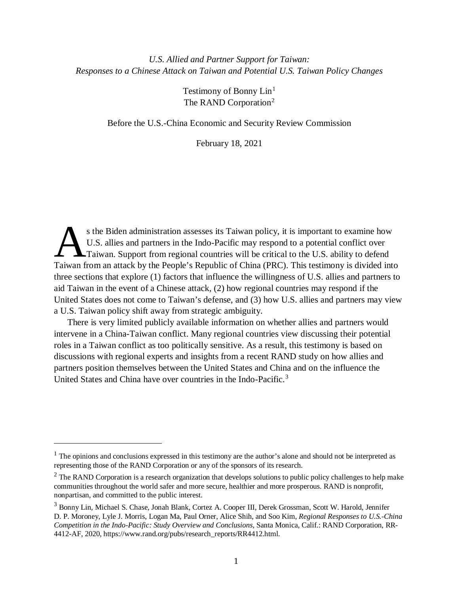## *U.S. Allied and Partner Support for Taiwan: Responses to a Chinese Attack on Taiwan and Potential U.S. Taiwan Policy Changes*

Testimony of Bonny Lin<sup>[1](#page-2-0)</sup> The RAND Corporation<sup>[2](#page-2-1)</sup>

Before the U.S.-China Economic and Security Review Commission

February 18, 2021

s the Biden administration assesses its Taiwan policy, it is important to examine how U.S. allies and partners in the Indo-Pacific may respond to a potential conflict over Taiwan. Support from regional countries will be critical to the U.S. ability to defend s the Biden administration assesses its Taiwan policy, it is important to examine how U.S. allies and partners in the Indo-Pacific may respond to a potential conflict over Taiwan. Support from regional countries will be cr three sections that explore (1) factors that influence the willingness of U.S. allies and partners to aid Taiwan in the event of a Chinese attack, (2) how regional countries may respond if the United States does not come to Taiwan's defense, and (3) how U.S. allies and partners may view a U.S. Taiwan policy shift away from strategic ambiguity.

There is very limited publicly available information on whether allies and partners would intervene in a China-Taiwan conflict. Many regional countries view discussing their potential roles in a Taiwan conflict as too politically sensitive. As a result, this testimony is based on discussions with regional experts and insights from a recent RAND study on how allies and partners position themselves between the United States and China and on the influence the United States and China have over countries in the Indo-Pacific.<sup>[3](#page-2-2)</sup>

 $\overline{a}$ 

<span id="page-2-0"></span> $<sup>1</sup>$  The opinions and conclusions expressed in this testimony are the author's alone and should not be interpreted as</sup> representing those of the RAND Corporation or any of the sponsors of its research.

<span id="page-2-1"></span> $<sup>2</sup>$  The RAND Corporation is a research organization that develops solutions to public policy challenges to help make</sup> communities throughout the world safer and more secure, healthier and more prosperous. RAND is nonprofit, nonpartisan, and committed to the public interest.

<span id="page-2-2"></span><sup>3</sup> Bonny Lin, Michael S. Chase, Jonah Blank, Cortez A. Cooper III, Derek Grossman, Scott W. Harold, Jennifer D. P. Moroney, Lyle J. Morris, Logan Ma, Paul Orner, Alice Shih, and Soo Kim, *Regional Responses to U.S.-China Competition in the Indo-Pacific: Study Overview and Conclusions*, Santa Monica, Calif.: RAND Corporation, RR-4412-AF, 2020, https://www.rand.org/pubs/research\_reports/RR4412.html.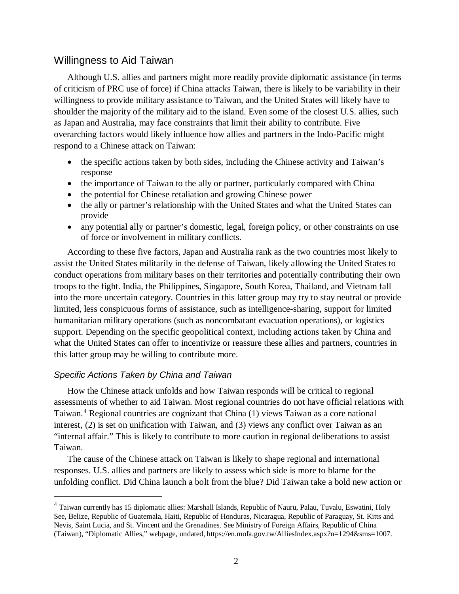## Willingness to Aid Taiwan

Although U.S. allies and partners might more readily provide diplomatic assistance (in terms of criticism of PRC use of force) if China attacks Taiwan, there is likely to be variability in their willingness to provide military assistance to Taiwan, and the United States will likely have to shoulder the majority of the military aid to the island. Even some of the closest U.S. allies, such as Japan and Australia, may face constraints that limit their ability to contribute. Five overarching factors would likely influence how allies and partners in the Indo-Pacific might respond to a Chinese attack on Taiwan:

- the specific actions taken by both sides, including the Chinese activity and Taiwan's response
- the importance of Taiwan to the ally or partner, particularly compared with China
- the potential for Chinese retaliation and growing Chinese power
- the ally or partner's relationship with the United States and what the United States can provide
- any potential ally or partner's domestic, legal, foreign policy, or other constraints on use of force or involvement in military conflicts.

According to these five factors, Japan and Australia rank as the two countries most likely to assist the United States militarily in the defense of Taiwan, likely allowing the United States to conduct operations from military bases on their territories and potentially contributing their own troops to the fight. India, the Philippines, Singapore, South Korea, Thailand, and Vietnam fall into the more uncertain category. Countries in this latter group may try to stay neutral or provide limited, less conspicuous forms of assistance, such as intelligence-sharing, support for limited humanitarian military operations (such as noncombatant evacuation operations), or logistics support. Depending on the specific geopolitical context, including actions taken by China and what the United States can offer to incentivize or reassure these allies and partners, countries in this latter group may be willing to contribute more.

#### *Specific Actions Taken by China and Taiwan*

How the Chinese attack unfolds and how Taiwan responds will be critical to regional assessments of whether to aid Taiwan. Most regional countries do not have official relations with Taiwan. [4](#page-3-0) Regional countries are cognizant that China (1) views Taiwan as a core national interest, (2) is set on unification with Taiwan, and (3) views any conflict over Taiwan as an "internal affair." This is likely to contribute to more caution in regional deliberations to assist Taiwan.

The cause of the Chinese attack on Taiwan is likely to shape regional and international responses. U.S. allies and partners are likely to assess which side is more to blame for the unfolding conflict. Did China launch a bolt from the blue? Did Taiwan take a bold new action or

<span id="page-3-0"></span><sup>&</sup>lt;sup>4</sup> Taiwan currently has 15 diplomatic allies: Marshall Islands, Republic of Nauru, Palau, Tuvalu, Eswatini, Holy See, Belize, Republic of Guatemala, Haiti, Republic of Honduras, Nicaragua, Republic of Paraguay, St. Kitts and Nevis, Saint Lucia, and St. Vincent and the Grenadines. See Ministry of Foreign Affairs, Republic of China (Taiwan), "Diplomatic Allies," webpage, undated, https://en.mofa.gov.tw/AlliesIndex.aspx?n=1294&sms=1007.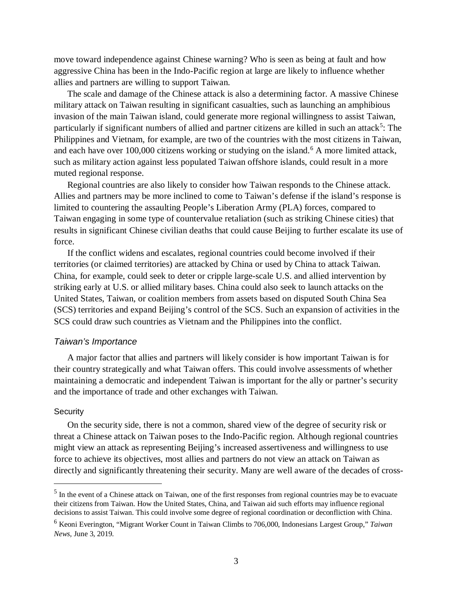move toward independence against Chinese warning? Who is seen as being at fault and how aggressive China has been in the Indo-Pacific region at large are likely to influence whether allies and partners are willing to support Taiwan.

The scale and damage of the Chinese attack is also a determining factor. A massive Chinese military attack on Taiwan resulting in significant casualties, such as launching an amphibious invasion of the main Taiwan island, could generate more regional willingness to assist Taiwan, particularly if significant numbers of allied and partner citizens are killed in such an attack<sup>[5](#page-4-0)</sup>: The Philippines and Vietnam, for example, are two of the countries with the most citizens in Taiwan, and each have over 100,000 citizens working or studying on the island. [6](#page-4-1) A more limited attack, such as military action against less populated Taiwan offshore islands, could result in a more muted regional response.

Regional countries are also likely to consider how Taiwan responds to the Chinese attack. Allies and partners may be more inclined to come to Taiwan's defense if the island's response is limited to countering the assaulting People's Liberation Army (PLA) forces, compared to Taiwan engaging in some type of countervalue retaliation (such as striking Chinese cities) that results in significant Chinese civilian deaths that could cause Beijing to further escalate its use of force.

If the conflict widens and escalates, regional countries could become involved if their territories (or claimed territories) are attacked by China or used by China to attack Taiwan. China, for example, could seek to deter or cripple large-scale U.S. and allied intervention by striking early at U.S. or allied military bases. China could also seek to launch attacks on the United States, Taiwan, or coalition members from assets based on disputed South China Sea (SCS) territories and expand Beijing's control of the SCS. Such an expansion of activities in the SCS could draw such countries as Vietnam and the Philippines into the conflict.

#### *Taiwan's Importance*

A major factor that allies and partners will likely consider is how important Taiwan is for their country strategically and what Taiwan offers. This could involve assessments of whether maintaining a democratic and independent Taiwan is important for the ally or partner's security and the importance of trade and other exchanges with Taiwan.

#### **Security**

On the security side, there is not a common, shared view of the degree of security risk or threat a Chinese attack on Taiwan poses to the Indo-Pacific region. Although regional countries might view an attack as representing Beijing's increased assertiveness and willingness to use force to achieve its objectives, most allies and partners do not view an attack on Taiwan as directly and significantly threatening their security. Many are well aware of the decades of cross-

<span id="page-4-0"></span><sup>&</sup>lt;sup>5</sup> In the event of a Chinese attack on Taiwan, one of the first responses from regional countries may be to evacuate their citizens from Taiwan. How the United States, China, and Taiwan aid such efforts may influence regional decisions to assist Taiwan. This could involve some degree of regional coordination or deconfliction with China.

<span id="page-4-1"></span><sup>6</sup> Keoni Everington, "Migrant Worker Count in Taiwan Climbs to 706,000, Indonesians Largest Group," *Taiwan News,* June 3, 2019.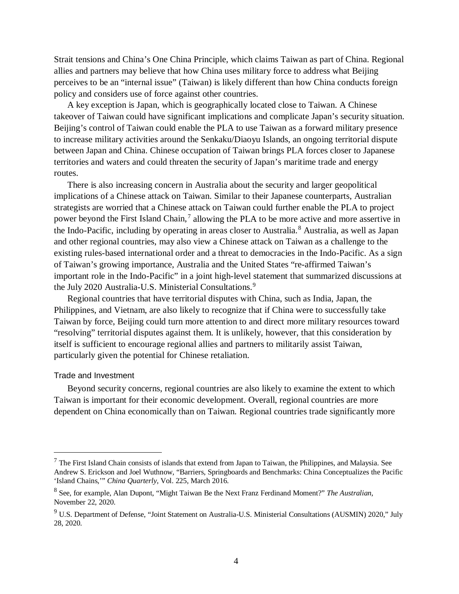Strait tensions and China's One China Principle, which claims Taiwan as part of China. Regional allies and partners may believe that how China uses military force to address what Beijing perceives to be an "internal issue" (Taiwan) is likely different than how China conducts foreign policy and considers use of force against other countries.

A key exception is Japan, which is geographically located close to Taiwan. A Chinese takeover of Taiwan could have significant implications and complicate Japan's security situation. Beijing's control of Taiwan could enable the PLA to use Taiwan as a forward military presence to increase military activities around the Senkaku/Diaoyu Islands, an ongoing territorial dispute between Japan and China. Chinese occupation of Taiwan brings PLA forces closer to Japanese territories and waters and could threaten the security of Japan's maritime trade and energy routes.

There is also increasing concern in Australia about the security and larger geopolitical implications of a Chinese attack on Taiwan. Similar to their Japanese counterparts, Australian strategists are worried that a Chinese attack on Taiwan could further enable the PLA to project power beyond the First Island Chain,<sup>[7](#page-5-0)</sup> allowing the PLA to be more active and more assertive in the Indo-Pacific, including by operating in areas closer to Australia.<sup>[8](#page-5-1)</sup> Australia, as well as Japan and other regional countries, may also view a Chinese attack on Taiwan as a challenge to the existing rules-based international order and a threat to democracies in the Indo-Pacific. As a sign of Taiwan's growing importance, Australia and the United States "re-affirmed Taiwan's important role in the Indo-Pacific" in a joint high-level statement that summarized discussions at the July 2020 Australia-U.S. Ministerial Consultations.<sup>[9](#page-5-2)</sup>

Regional countries that have territorial disputes with China, such as India, Japan, the Philippines, and Vietnam, are also likely to recognize that if China were to successfully take Taiwan by force, Beijing could turn more attention to and direct more military resources toward "resolving" territorial disputes against them. It is unlikely, however, that this consideration by itself is sufficient to encourage regional allies and partners to militarily assist Taiwan, particularly given the potential for Chinese retaliation.

#### Trade and Investment

Beyond security concerns, regional countries are also likely to examine the extent to which Taiwan is important for their economic development. Overall, regional countries are more dependent on China economically than on Taiwan. Regional countries trade significantly more

<span id="page-5-0"></span> $<sup>7</sup>$  The First Island Chain consists of islands that extend from Japan to Taiwan, the Philippines, and Malaysia. See</sup> Andrew S. Erickson and Joel Wuthnow, "Barriers, Springboards and Benchmarks: China Conceptualizes the Pacific 'Island Chains,'" *China Quarterly*, Vol. 225, March 2016.

<span id="page-5-1"></span><sup>8</sup> See, for example, Alan Dupont, "Might Taiwan Be the Next Franz Ferdinand Moment?" *The Australian*, November 22, 2020.

<span id="page-5-2"></span><sup>&</sup>lt;sup>9</sup> U.S. Department of Defense, "Joint Statement on Australia-U.S. Ministerial Consultations (AUSMIN) 2020," July 28, 2020.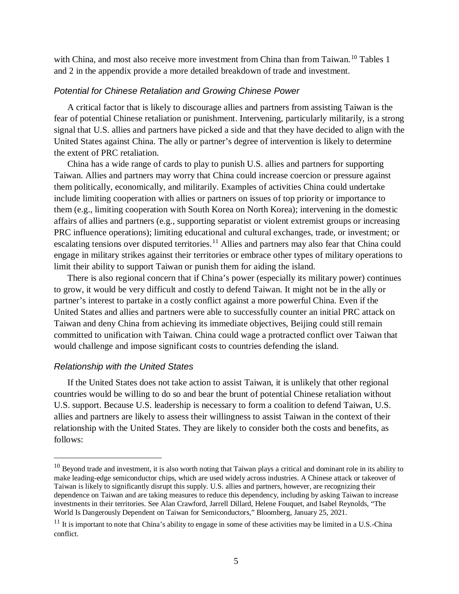with China, and most also receive more investment from China than from Taiwan.<sup>[10](#page-6-0)</sup> Tables 1 and 2 in the appendix provide a more detailed breakdown of trade and investment.

#### *Potential for Chinese Retaliation and Growing Chinese Power*

A critical factor that is likely to discourage allies and partners from assisting Taiwan is the fear of potential Chinese retaliation or punishment. Intervening, particularly militarily, is a strong signal that U.S. allies and partners have picked a side and that they have decided to align with the United States against China. The ally or partner's degree of intervention is likely to determine the extent of PRC retaliation.

China has a wide range of cards to play to punish U.S. allies and partners for supporting Taiwan. Allies and partners may worry that China could increase coercion or pressure against them politically, economically, and militarily. Examples of activities China could undertake include limiting cooperation with allies or partners on issues of top priority or importance to them (e.g., limiting cooperation with South Korea on North Korea); intervening in the domestic affairs of allies and partners (e.g., supporting separatist or violent extremist groups or increasing PRC influence operations); limiting educational and cultural exchanges, trade, or investment; or escalating tensions over disputed territories.<sup>[11](#page-6-1)</sup> Allies and partners may also fear that China could engage in military strikes against their territories or embrace other types of military operations to limit their ability to support Taiwan or punish them for aiding the island.

There is also regional concern that if China's power (especially its military power) continues to grow, it would be very difficult and costly to defend Taiwan. It might not be in the ally or partner's interest to partake in a costly conflict against a more powerful China. Even if the United States and allies and partners were able to successfully counter an initial PRC attack on Taiwan and deny China from achieving its immediate objectives, Beijing could still remain committed to unification with Taiwan. China could wage a protracted conflict over Taiwan that would challenge and impose significant costs to countries defending the island.

#### *Relationship with the United States*

If the United States does not take action to assist Taiwan, it is unlikely that other regional countries would be willing to do so and bear the brunt of potential Chinese retaliation without U.S. support. Because U.S. leadership is necessary to form a coalition to defend Taiwan, U.S. allies and partners are likely to assess their willingness to assist Taiwan in the context of their relationship with the United States. They are likely to consider both the costs and benefits, as follows:

<span id="page-6-0"></span> $10$  Beyond trade and investment, it is also worth noting that Taiwan plays a critical and dominant role in its ability to make leading-edge semiconductor chips, which are used widely across industries. A Chinese attack or takeover of Taiwan is likely to significantly disrupt this supply. U.S. allies and partners, however, are recognizing their dependence on Taiwan and are taking measures to reduce this dependency, including by asking Taiwan to increase investments in their territories. See Alan Crawford, Jarrell Dillard, Helene Fouquet, and Isabel Reynolds, "The World Is Dangerously Dependent on Taiwan for Semiconductors," Bloomberg, January 25, 2021.

<span id="page-6-1"></span> $11$  It is important to note that China's ability to engage in some of these activities may be limited in a U.S.-China conflict.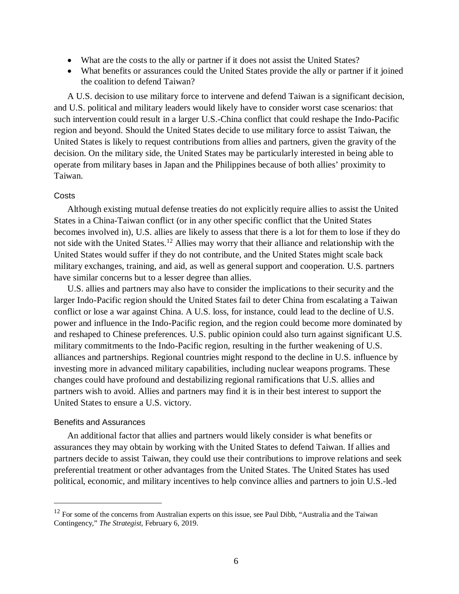- What are the costs to the ally or partner if it does not assist the United States?
- What benefits or assurances could the United States provide the ally or partner if it joined the coalition to defend Taiwan?

A U.S. decision to use military force to intervene and defend Taiwan is a significant decision, and U.S. political and military leaders would likely have to consider worst case scenarios: that such intervention could result in a larger U.S.-China conflict that could reshape the Indo-Pacific region and beyond. Should the United States decide to use military force to assist Taiwan, the United States is likely to request contributions from allies and partners, given the gravity of the decision. On the military side, the United States may be particularly interested in being able to operate from military bases in Japan and the Philippines because of both allies' proximity to Taiwan.

#### **Costs**

Although existing mutual defense treaties do not explicitly require allies to assist the United States in a China-Taiwan conflict (or in any other specific conflict that the United States becomes involved in), U.S. allies are likely to assess that there is a lot for them to lose if they do not side with the United States.<sup>[12](#page-7-0)</sup> Allies may worry that their alliance and relationship with the United States would suffer if they do not contribute, and the United States might scale back military exchanges, training, and aid, as well as general support and cooperation. U.S. partners have similar concerns but to a lesser degree than allies.

U.S. allies and partners may also have to consider the implications to their security and the larger Indo-Pacific region should the United States fail to deter China from escalating a Taiwan conflict or lose a war against China. A U.S. loss, for instance, could lead to the decline of U.S. power and influence in the Indo-Pacific region, and the region could become more dominated by and reshaped to Chinese preferences. U.S. public opinion could also turn against significant U.S. military commitments to the Indo-Pacific region, resulting in the further weakening of U.S. alliances and partnerships. Regional countries might respond to the decline in U.S. influence by investing more in advanced military capabilities, including nuclear weapons programs. These changes could have profound and destabilizing regional ramifications that U.S. allies and partners wish to avoid. Allies and partners may find it is in their best interest to support the United States to ensure a U.S. victory.

#### Benefits and Assurances

An additional factor that allies and partners would likely consider is what benefits or assurances they may obtain by working with the United States to defend Taiwan. If allies and partners decide to assist Taiwan, they could use their contributions to improve relations and seek preferential treatment or other advantages from the United States. The United States has used political, economic, and military incentives to help convince allies and partners to join U.S.-led

<span id="page-7-0"></span> $12$  For some of the concerns from Australian experts on this issue, see Paul Dibb, "Australia and the Taiwan" Contingency," *The Strategist,* February 6, 2019.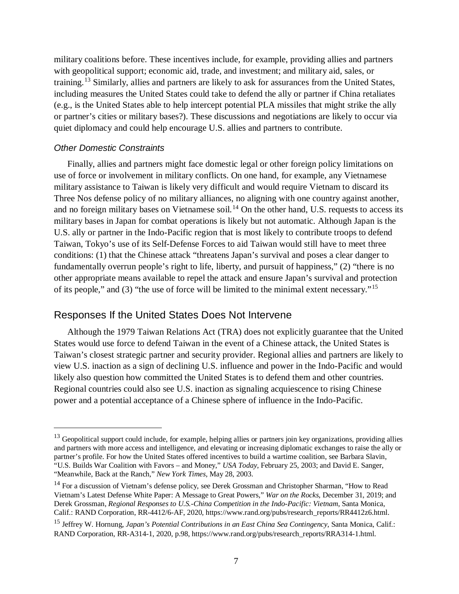military coalitions before. These incentives include, for example, providing allies and partners with geopolitical support; economic aid, trade, and investment; and military aid, sales, or training.<sup>[13](#page-8-0)</sup> Similarly, allies and partners are likely to ask for assurances from the United States, including measures the United States could take to defend the ally or partner if China retaliates (e.g., is the United States able to help intercept potential PLA missiles that might strike the ally or partner's cities or military bases?). These discussions and negotiations are likely to occur via quiet diplomacy and could help encourage U.S. allies and partners to contribute.

#### *Other Domestic Constraints*

Finally, allies and partners might face domestic legal or other foreign policy limitations on use of force or involvement in military conflicts. On one hand, for example, any Vietnamese military assistance to Taiwan is likely very difficult and would require Vietnam to discard its Three Nos defense policy of no military alliances, no aligning with one country against another, and no foreign military bases on Vietnamese soil.<sup>[14](#page-8-1)</sup> On the other hand, U.S. requests to access its military bases in Japan for combat operations is likely but not automatic. Although Japan is the U.S. ally or partner in the Indo-Pacific region that is most likely to contribute troops to defend Taiwan, Tokyo's use of its Self-Defense Forces to aid Taiwan would still have to meet three conditions: (1) that the Chinese attack "threatens Japan's survival and poses a clear danger to fundamentally overrun people's right to life, liberty, and pursuit of happiness," (2) "there is no other appropriate means available to repel the attack and ensure Japan's survival and protection of its people," and (3) "the use of force will be limited to the minimal extent necessary."[15](#page-8-2)

## Responses If the United States Does Not Intervene

Although the 1979 Taiwan Relations Act (TRA) does not explicitly guarantee that the United States would use force to defend Taiwan in the event of a Chinese attack, the United States is Taiwan's closest strategic partner and security provider. Regional allies and partners are likely to view U.S. inaction as a sign of declining U.S. influence and power in the Indo-Pacific and would likely also question how committed the United States is to defend them and other countries. Regional countries could also see U.S. inaction as signaling acquiescence to rising Chinese power and a potential acceptance of a Chinese sphere of influence in the Indo-Pacific.

<span id="page-8-0"></span> $13$  Geopolitical support could include, for example, helping allies or partners join key organizations, providing allies and partners with more access and intelligence, and elevating or increasing diplomatic exchanges to raise the ally or partner's profile. For how the United States offered incentives to build a wartime coalition, see Barbara Slavin, "U.S. Builds War Coalition with Favors – and Money," *USA Today*, February 25, 2003; and David E. Sanger, "Meanwhile, Back at the Ranch," *New York Times*, May 28, 2003.

<span id="page-8-1"></span><sup>&</sup>lt;sup>14</sup> For a discussion of Vietnam's defense policy, see Derek Grossman and Christopher Sharman, "How to Read Vietnam's Latest Defense White Paper: A Message to Great Powers," *War on the Rocks*, December 31, 2019; and Derek Grossman, *Regional Responses to U.S.-China Competition in the Indo-Pacific: Vietnam*, Santa Monica, Calif.: RAND Corporation, RR-4412/6-AF, 2020, https://www.rand.org/pubs/research\_reports/RR4412z6.html.

<span id="page-8-2"></span><sup>15</sup> Jeffrey W. Hornung, *Japan's Potential Contributions in an East China Sea Contingency*, Santa Monica, Calif.: RAND Corporation, RR-A314-1, 2020, p.98, https://www.rand.org/pubs/research\_reports/RRA314-1.html.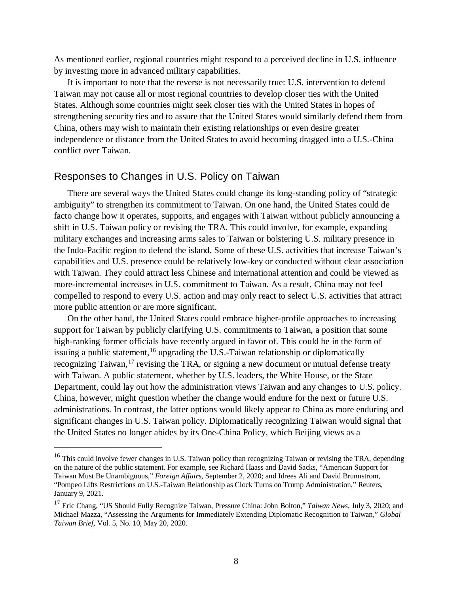As mentioned earlier, regional countries might respond to a perceived decline in U.S. influence by investing more in advanced military capabilities.

It is important to note that the reverse is not necessarily true: U.S. intervention to defend Taiwan may not cause all or most regional countries to develop closer ties with the United States. Although some countries might seek closer ties with the United States in hopes of strengthening security ties and to assure that the United States would similarly defend them from China, others may wish to maintain their existing relationships or even desire greater independence or distance from the United States to avoid becoming dragged into a U.S.-China conflict over Taiwan.

#### Responses to Changes in U.S. Policy on Taiwan

There are several ways the United States could change its long-standing policy of "strategic ambiguity" to strengthen its commitment to Taiwan. On one hand, the United States could de facto change how it operates, supports, and engages with Taiwan without publicly announcing a shift in U.S. Taiwan policy or revising the TRA. This could involve, for example, expanding military exchanges and increasing arms sales to Taiwan or bolstering U.S. military presence in the Indo-Pacific region to defend the island. Some of these U.S. activities that increase Taiwan's capabilities and U.S. presence could be relatively low-key or conducted without clear association with Taiwan. They could attract less Chinese and international attention and could be viewed as more-incremental increases in U.S. commitment to Taiwan. As a result, China may not feel compelled to respond to every U.S. action and may only react to select U.S. activities that attract more public attention or are more significant.

On the other hand, the United States could embrace higher-profile approaches to increasing support for Taiwan by publicly clarifying U.S. commitments to Taiwan, a position that some high-ranking former officials have recently argued in favor of. This could be in the form of issuing a public statement, <sup>[16](#page-9-0)</sup> upgrading the U.S.-Taiwan relationship or diplomatically recognizing Taiwan,<sup>[17](#page-9-1)</sup> revising the TRA, or signing a new document or mutual defense treaty with Taiwan. A public statement, whether by U.S. leaders, the White House, or the State Department, could lay out how the administration views Taiwan and any changes to U.S. policy. China, however, might question whether the change would endure for the next or future U.S. administrations. In contrast, the latter options would likely appear to China as more enduring and significant changes in U.S. Taiwan policy. Diplomatically recognizing Taiwan would signal that the United States no longer abides by its One-China Policy, which Beijing views as a

<span id="page-9-0"></span><sup>&</sup>lt;sup>16</sup> This could involve fewer changes in U.S. Taiwan policy than recognizing Taiwan or revising the TRA, depending on the nature of the public statement. For example, see Richard Haass and David Sacks, "American Support for Taiwan Must Be Unambiguous," *Foreign Affairs,* September 2, 2020; and Idrees Ali and David Brunnstrom, "Pompeo Lifts Restrictions on U.S.-Taiwan Relationship as Clock Turns on Trump Administration," Reuters, January 9, 2021.

<span id="page-9-1"></span><sup>17</sup> Eric Chang, "US Should Fully Recognize Taiwan, Pressure China: John Bolton," *Taiwan News*, July 3, 2020; and Michael Mazza, "Assessing the Arguments for Immediately Extending Diplomatic Recognition to Taiwan," *Global Taiwan Brief*, Vol. 5, No. 10, May 20, 2020.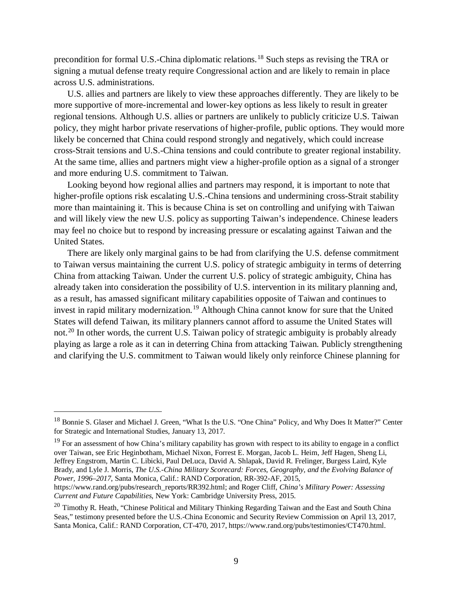precondition for formal U.S.-China diplomatic relations.[18](#page-10-0) Such steps as revising the TRA or signing a mutual defense treaty require Congressional action and are likely to remain in place across U.S. administrations.

U.S. allies and partners are likely to view these approaches differently. They are likely to be more supportive of more-incremental and lower-key options as less likely to result in greater regional tensions. Although U.S. allies or partners are unlikely to publicly criticize U.S. Taiwan policy, they might harbor private reservations of higher-profile, public options. They would more likely be concerned that China could respond strongly and negatively, which could increase cross-Strait tensions and U.S.-China tensions and could contribute to greater regional instability. At the same time, allies and partners might view a higher-profile option as a signal of a stronger and more enduring U.S. commitment to Taiwan.

Looking beyond how regional allies and partners may respond, it is important to note that higher-profile options risk escalating U.S.-China tensions and undermining cross-Strait stability more than maintaining it. This is because China is set on controlling and unifying with Taiwan and will likely view the new U.S. policy as supporting Taiwan's independence. Chinese leaders may feel no choice but to respond by increasing pressure or escalating against Taiwan and the United States.

There are likely only marginal gains to be had from clarifying the U.S. defense commitment to Taiwan versus maintaining the current U.S. policy of strategic ambiguity in terms of deterring China from attacking Taiwan. Under the current U.S. policy of strategic ambiguity, China has already taken into consideration the possibility of U.S. intervention in its military planning and, as a result, has amassed significant military capabilities opposite of Taiwan and continues to invest in rapid military modernization. [19](#page-10-1) Although China cannot know for sure that the United States will defend Taiwan, its military planners cannot afford to assume the United States will not.<sup>[20](#page-10-2)</sup> In other words, the current U.S. Taiwan policy of strategic ambiguity is probably already playing as large a role as it can in deterring China from attacking Taiwan. Publicly strengthening and clarifying the U.S. commitment to Taiwan would likely only reinforce Chinese planning for

<span id="page-10-1"></span> $19$  For an assessment of how China's military capability has grown with respect to its ability to engage in a conflict over Taiwan, see Eric Heginbotham, Michael Nixon, Forrest E. Morgan, Jacob L. Heim, Jeff Hagen, Sheng Li, Jeffrey Engstrom, Martin C. Libicki, Paul DeLuca, David A. Shlapak, David R. Frelinger, Burgess Laird, Kyle Brady, and Lyle J. Morris, *The U.S.-China Military Scorecard: Forces, Geography, and the Evolving Balance of Power, 1996–2017*, Santa Monica, Calif.: RAND Corporation, RR-392-AF, 2015,

https://www.rand.org/pubs/research\_reports/RR392.html; and Roger Cliff, *China's Military Power: Assessing Current and Future Capabilities*, New York: Cambridge University Press, 2015.

<span id="page-10-0"></span><sup>&</sup>lt;sup>18</sup> Bonnie S. Glaser and Michael J. Green, "What Is the U.S. "One China" Policy, and Why Does It Matter?" Center for Strategic and International Studies, January 13, 2017.

<span id="page-10-2"></span><sup>&</sup>lt;sup>20</sup> Timothy R. Heath, "Chinese Political and Military Thinking Regarding Taiwan and the East and South China Seas," testimony presented before the U.S.-China Economic and Security Review Commission on April 13, 2017, Santa Monica, Calif.: RAND Corporation, CT-470, 2017, https://www.rand.org/pubs/testimonies/CT470.html.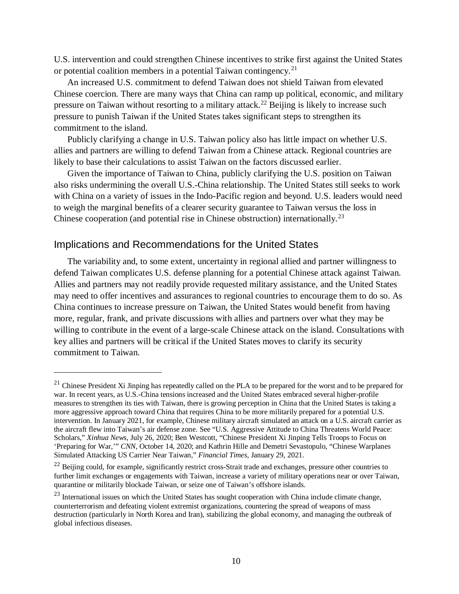U.S. intervention and could strengthen Chinese incentives to strike first against the United States or potential coalition members in a potential Taiwan contingency.<sup>[21](#page-11-0)</sup>

An increased U.S. commitment to defend Taiwan does not shield Taiwan from elevated Chinese coercion. There are many ways that China can ramp up political, economic, and military pressure on Taiwan without resorting to a military attack.<sup>[22](#page-11-1)</sup> Beijing is likely to increase such pressure to punish Taiwan if the United States takes significant steps to strengthen its commitment to the island.

Publicly clarifying a change in U.S. Taiwan policy also has little impact on whether U.S. allies and partners are willing to defend Taiwan from a Chinese attack. Regional countries are likely to base their calculations to assist Taiwan on the factors discussed earlier.

Given the importance of Taiwan to China, publicly clarifying the U.S. position on Taiwan also risks undermining the overall U.S.-China relationship. The United States still seeks to work with China on a variety of issues in the Indo-Pacific region and beyond. U.S. leaders would need to weigh the marginal benefits of a clearer security guarantee to Taiwan versus the loss in Chinese cooperation (and potential rise in Chinese obstruction) internationally.<sup>[23](#page-11-2)</sup>

## Implications and Recommendations for the United States

 $\overline{a}$ 

The variability and, to some extent, uncertainty in regional allied and partner willingness to defend Taiwan complicates U.S. defense planning for a potential Chinese attack against Taiwan. Allies and partners may not readily provide requested military assistance, and the United States may need to offer incentives and assurances to regional countries to encourage them to do so. As China continues to increase pressure on Taiwan, the United States would benefit from having more, regular, frank, and private discussions with allies and partners over what they may be willing to contribute in the event of a large-scale Chinese attack on the island. Consultations with key allies and partners will be critical if the United States moves to clarify its security commitment to Taiwan.

<span id="page-11-0"></span> $^{21}$  Chinese President Xi Jinping has repeatedly called on the PLA to be prepared for the worst and to be prepared for war. In recent years, as U.S.-China tensions increased and the United States embraced several higher-profile measures to strengthen its ties with Taiwan, there is growing perception in China that the United States is taking a more aggressive approach toward China that requires China to be more militarily prepared for a potential U.S. intervention. In January 2021, for example, Chinese military aircraft simulated an attack on a U.S. aircraft carrier as the aircraft flew into Taiwan's air defense zone. See "U.S. Aggressive Attitude to China Threatens World Peace: Scholars," *Xinhua News*, July 26, 2020; Ben Westcott, "Chinese President Xi Jinping Tells Troops to Focus on 'Preparing for War,'" *CNN*, October 14, 2020; and Kathrin Hille and Demetri Sevastopulo, "Chinese Warplanes Simulated Attacking US Carrier Near Taiwan," *Financial Times*, January 29, 2021.

<span id="page-11-1"></span><sup>&</sup>lt;sup>22</sup> Beijing could, for example, significantly restrict cross-Strait trade and exchanges, pressure other countries to further limit exchanges or engagements with Taiwan, increase a variety of military operations near or over Taiwan, quarantine or militarily blockade Taiwan, or seize one of Taiwan's offshore islands.

<span id="page-11-2"></span><sup>&</sup>lt;sup>23</sup> International issues on which the United States has sought cooperation with China include climate change, counterterrorism and defeating violent extremist organizations, countering the spread of weapons of mass destruction (particularly in North Korea and Iran), stabilizing the global economy, and managing the outbreak of global infectious diseases.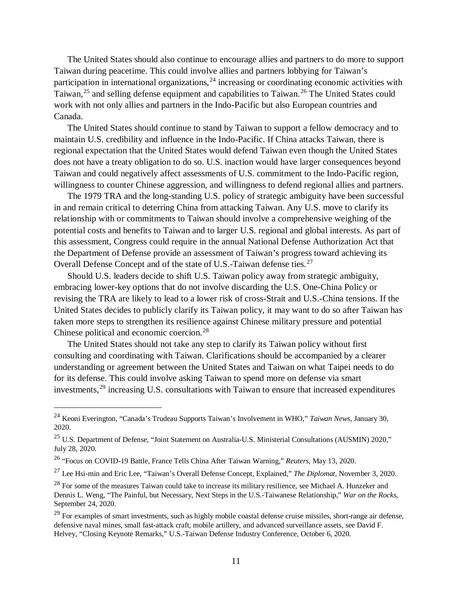The United States should also continue to encourage allies and partners to do more to support Taiwan during peacetime. This could involve allies and partners lobbying for Taiwan's participation in international organizations,  $24$  increasing or coordinating economic activities with Taiwan,<sup>[25](#page-12-1)</sup> and selling defense equipment and capabilities to Taiwan.<sup>[26](#page-12-2)</sup> The United States could work with not only allies and partners in the Indo-Pacific but also European countries and Canada.

The United States should continue to stand by Taiwan to support a fellow democracy and to maintain U.S. credibility and influence in the Indo-Pacific. If China attacks Taiwan, there is regional expectation that the United States would defend Taiwan even though the United States does not have a treaty obligation to do so. U.S. inaction would have larger consequences beyond Taiwan and could negatively affect assessments of U.S. commitment to the Indo-Pacific region, willingness to counter Chinese aggression, and willingness to defend regional allies and partners.

The 1979 TRA and the long-standing U.S. policy of strategic ambiguity have been successful in and remain critical to deterring China from attacking Taiwan. Any U.S. move to clarify its relationship with or commitments to Taiwan should involve a comprehensive weighing of the potential costs and benefits to Taiwan and to larger U.S. regional and global interests. As part of this assessment, Congress could require in the annual National Defense Authorization Act that the Department of Defense provide an assessment of Taiwan's progress toward achieving its Overall Defense Concept and of the state of U.S.-Taiwan defense ties.<sup>[27](#page-12-3)</sup>

Should U.S. leaders decide to shift U.S. Taiwan policy away from strategic ambiguity, embracing lower-key options that do not involve discarding the U.S. One-China Policy or revising the TRA are likely to lead to a lower risk of cross-Strait and U.S.-China tensions. If the United States decides to publicly clarify its Taiwan policy, it may want to do so after Taiwan has taken more steps to strengthen its resilience against Chinese military pressure and potential Chinese political and economic coercion.<sup>[28](#page-12-4)</sup>

The United States should not take any step to clarify its Taiwan policy without first consulting and coordinating with Taiwan. Clarifications should be accompanied by a clearer understanding or agreement between the United States and Taiwan on what Taipei needs to do for its defense. This could involve asking Taiwan to spend more on defense via smart investments, [29](#page-12-5) increasing U.S. consultations with Taiwan to ensure that increased expenditures

<span id="page-12-0"></span> <sup>24</sup> Keoni Everington, "Canada's Trudeau Supports Taiwan's Involvement in WHO," *Taiwan News*, January 30, 2020.

<span id="page-12-1"></span><sup>&</sup>lt;sup>25</sup> U.S. Department of Defense, "Joint Statement on Australia-U.S. Ministerial Consultations (AUSMIN) 2020," July 28, 2020.

<span id="page-12-2"></span><sup>26</sup> "Focus on COVID-19 Battle, France Tells China After Taiwan Warning," *Reuters,* May 13, 2020.

<span id="page-12-3"></span><sup>27</sup> Lee Hsi-min and Eric Lee, "Taiwan's Overall Defense Concept, Explained," *The Diplomat*, November 3, 2020.

<span id="page-12-4"></span><sup>&</sup>lt;sup>28</sup> For some of the measures Taiwan could take to increase its military resilience, see Michael A. Hunzeker and Dennis L. Weng, "The Painful, but Necessary, Next Steps in the U.S.-Taiwanese Relationship," *War on the Rocks*, September 24, 2020.

<span id="page-12-5"></span><sup>&</sup>lt;sup>29</sup> For examples of smart investments, such as highly mobile coastal defense cruise missiles, short-range air defense, defensive naval mines, small fast-attack craft, mobile artillery, and advanced surveillance assets, see David F. Helvey, "Closing Keynote Remarks," U.S.-Taiwan Defense Industry Conference, October 6, 2020.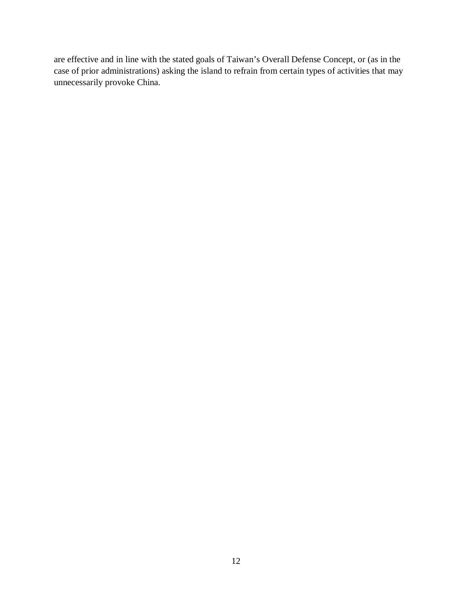are effective and in line with the stated goals of Taiwan's Overall Defense Concept, or (as in the case of prior administrations) asking the island to refrain from certain types of activities that may unnecessarily provoke China.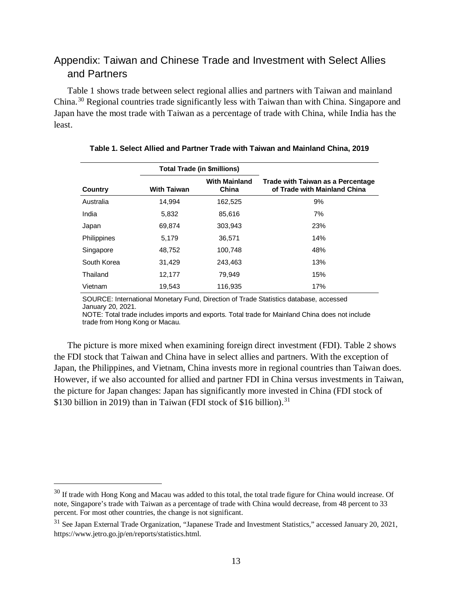## Appendix: Taiwan and Chinese Trade and Investment with Select Allies and Partners

Table 1 shows trade between select regional allies and partners with Taiwan and mainland China.[30](#page-14-0) Regional countries trade significantly less with Taiwan than with China. Singapore and Japan have the most trade with Taiwan as a percentage of trade with China, while India has the least.

|             | <b>Total Trade (in \$millions)</b> |                               |                                                                   |
|-------------|------------------------------------|-------------------------------|-------------------------------------------------------------------|
| Country     | <b>With Taiwan</b>                 | <b>With Mainland</b><br>China | Trade with Taiwan as a Percentage<br>of Trade with Mainland China |
| Australia   | 14,994                             | 162,525                       | 9%                                                                |
| India       | 5,832                              | 85,616                        | 7%                                                                |
| Japan       | 69,874                             | 303,943                       | 23%                                                               |
| Philippines | 5,179                              | 36,571                        | 14%                                                               |
| Singapore   | 48,752                             | 100.748                       | 48%                                                               |
| South Korea | 31,429                             | 243,463                       | 13%                                                               |
| Thailand    | 12,177                             | 79.949                        | 15%                                                               |
| Vietnam     | 19,543                             | 116,935                       | 17%                                                               |

#### **Table 1. Select Allied and Partner Trade with Taiwan and Mainland China, 2019**

SOURCE: International Monetary Fund, Direction of Trade Statistics database, accessed January 20, 2021.

NOTE: Total trade includes imports and exports. Total trade for Mainland China does not include trade from Hong Kong or Macau.

The picture is more mixed when examining foreign direct investment (FDI). Table 2 shows the FDI stock that Taiwan and China have in select allies and partners. With the exception of Japan, the Philippines, and Vietnam, China invests more in regional countries than Taiwan does. However, if we also accounted for allied and partner FDI in China versus investments in Taiwan, the picture for Japan changes: Japan has significantly more invested in China (FDI stock of \$130 billion in 2019) than in Taiwan (FDI stock of \$16 billion).<sup>[31](#page-14-1)</sup>

<span id="page-14-0"></span><sup>&</sup>lt;sup>30</sup> If trade with Hong Kong and Macau was added to this total, the total trade figure for China would increase. Of note, Singapore's trade with Taiwan as a percentage of trade with China would decrease, from 48 percent to 33 percent. For most other countries, the change is not significant.

<span id="page-14-1"></span><sup>31</sup> See Japan External Trade Organization, "Japanese Trade and Investment Statistics," accessed January 20, 2021, https://www.jetro.go.jp/en/reports/statistics.html.